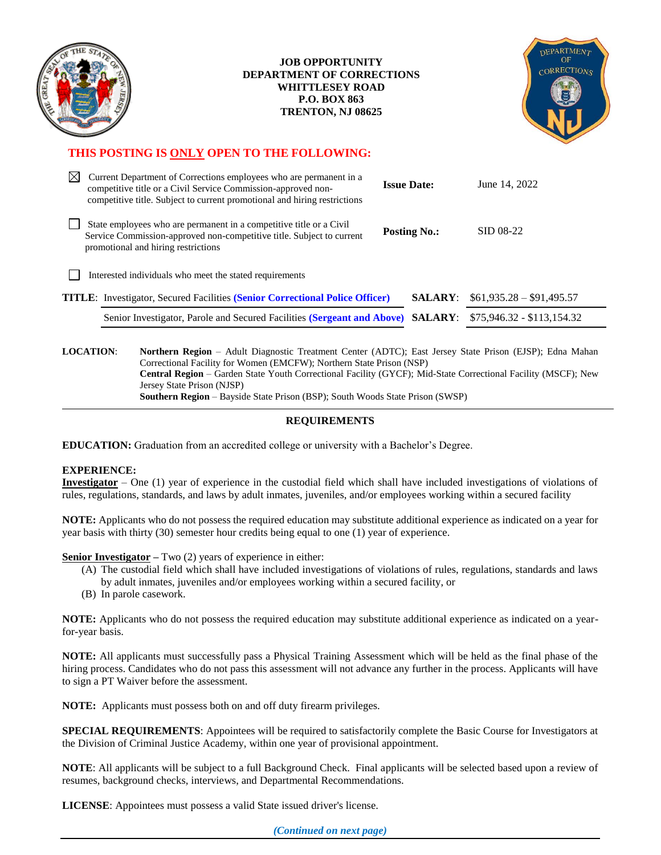

#### **JOB OPPORTUNITY DEPARTMENT OF CORRECTIONS WHITTLESEY ROAD P.O. BOX 863 TRENTON, NJ 08625**



## **THIS POSTING IS ONLY OPEN TO THE FOLLOWING:**

| M                                                       | Current Department of Corrections employees who are permanent in a<br>competitive title or a Civil Service Commission-approved non-<br>competitive title. Subject to current promotional and hiring restrictions | <b>Issue Date:</b>  | June 14, 2022              |  |
|---------------------------------------------------------|------------------------------------------------------------------------------------------------------------------------------------------------------------------------------------------------------------------|---------------------|----------------------------|--|
|                                                         | State employees who are permanent in a competitive title or a Civil<br>Service Commission-approved non-competitive title. Subject to current<br>promotional and hiring restrictions                              | <b>Posting No.:</b> | SID 08-22                  |  |
| Interested individuals who meet the stated requirements |                                                                                                                                                                                                                  |                     |                            |  |
|                                                         | <b>TITLE:</b> Investigator, Secured Facilities (Senior Correctional Police Officer)                                                                                                                              | <b>SALARY:</b>      | $$61,935.28 - $91,495.57$  |  |
|                                                         | Senior Investigator, Parole and Secured Facilities (Sergeant and Above) SALARY:                                                                                                                                  |                     | $$75,946.32 - $113,154.32$ |  |
|                                                         |                                                                                                                                                                                                                  |                     |                            |  |

**LOCATION**: **Northern Region** – Adult Diagnostic Treatment Center (ADTC); East Jersey State Prison (EJSP); Edna Mahan Correctional Facility for Women (EMCFW); Northern State Prison (NSP) **Central Region** – Garden State Youth Correctional Facility (GYCF); Mid-State Correctional Facility (MSCF); New Jersey State Prison (NJSP) **Southern Region** – Bayside State Prison (BSP); South Woods State Prison (SWSP)

### **REQUIREMENTS**

**EDUCATION:** Graduation from an accredited college or university with a Bachelor's Degree.

#### **EXPERIENCE:**

**Investigator** – One (1) year of experience in the custodial field which shall have included investigations of violations of rules, regulations, standards, and laws by adult inmates, juveniles, and/or employees working within a secured facility

**NOTE:** Applicants who do not possess the required education may substitute additional experience as indicated on a year for year basis with thirty (30) semester hour credits being equal to one (1) year of experience.

**Senior Investigator** – Two (2) years of experience in either:

- (A) The custodial field which shall have included investigations of violations of rules, regulations, standards and laws by adult inmates, juveniles and/or employees working within a secured facility, or
- (B) In parole casework.

**NOTE:** Applicants who do not possess the required education may substitute additional experience as indicated on a yearfor-year basis.

**NOTE:** All applicants must successfully pass a Physical Training Assessment which will be held as the final phase of the hiring process. Candidates who do not pass this assessment will not advance any further in the process. Applicants will have to sign a PT Waiver before the assessment.

**NOTE:** Applicants must possess both on and off duty firearm privileges.

**SPECIAL REQUIREMENTS**: Appointees will be required to satisfactorily complete the Basic Course for Investigators at the Division of Criminal Justice Academy, within one year of provisional appointment.

**NOTE**: All applicants will be subject to a full Background Check. Final applicants will be selected based upon a review of resumes, background checks, interviews, and Departmental Recommendations.

**LICENSE**: Appointees must possess a valid State issued driver's license.

*(Continued on next page)*